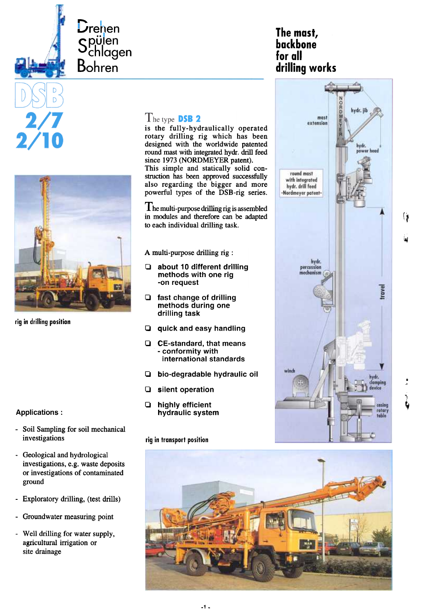



 $\dot{\bm{\mathsf{L}}}$ renen

 $\bm{\cup}_{\mathcal{C}}$ chlagen **Bohren** 

rig in drilling position

- Soil Sampling for soil mechanical investigations rig in transport position
- Geological and hydrological investigations, e.g. waste deposits or investigations of contaminated ground
- Exploratory drilling, (test drills)
- Groundwater measuring point
- WeIl drilling for water supply, agricultural irrigation or site drainage

## The type DSB 2

is the fully-hydraulically operated rotary drilling rig which has been designed with the worldwide patented round mast with integrated hydr. drill feed since 1973 (NORDMEYER patent). This simple and statically solid construction has been approved successfully also regarding the bigger and more powerful types of the DSB-rig series.

 $\prod$  he multi-purpose drilling rig is assembled in modules and therefore can be adapted to each individual drilling task.

A multi-purpose drilling rig :

- 0 about 10 different drilling methods with one rig -on request
- 0 fast change of drilling methods during one drilling task
- Q quick and easy handling
- 0 CE-standard, that means - conformity with international standards
- I:J bio-degradable hydraulic oil
- 0 silent operation
- Applications : hydraulic system







 $\mathfrak{p}$ 

~



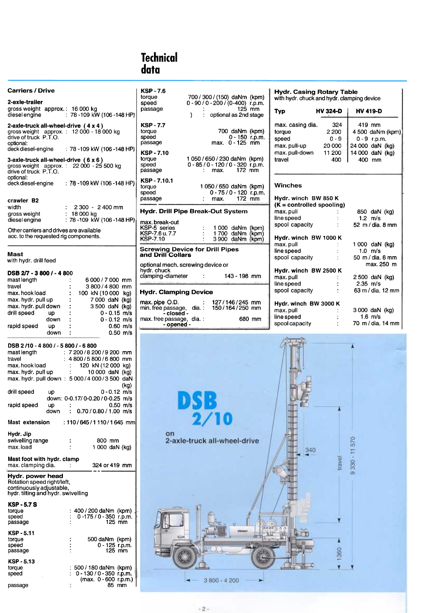# Technical data

| <b>Carriers / Drive</b><br>2-axle-trailer                                                                                                                                                                                                                                                                                                                                                                                                                                         | <b>KSP-7.6</b><br>700 / 300 / (150) daNm (kpm)<br>torque<br>$0 - 90 / 0 - 200 / (0 - 400)$ r.p.m.<br>speed                                                                                                                                          | <b>Hydr. Casing Rotary Table</b><br>with hydr. chuck and hydr. clamping device                                                                                                                                                      |
|-----------------------------------------------------------------------------------------------------------------------------------------------------------------------------------------------------------------------------------------------------------------------------------------------------------------------------------------------------------------------------------------------------------------------------------------------------------------------------------|-----------------------------------------------------------------------------------------------------------------------------------------------------------------------------------------------------------------------------------------------------|-------------------------------------------------------------------------------------------------------------------------------------------------------------------------------------------------------------------------------------|
| gross weight approx.: 16 000 kg<br>diesel engine<br>: 78 - 109 kW (106 - 148 HP)                                                                                                                                                                                                                                                                                                                                                                                                  | 125 mm<br>passage<br>optional as 2nd stage<br>$\lambda$                                                                                                                                                                                             | <b>HV 324-D</b><br><b>HV 419-D</b><br><b>Typ</b>                                                                                                                                                                                    |
| 2-axie-truck all-wheel-drive $(4 \times 4)$<br>gross weight approx.: 12 000 - 18 000 kg<br>drive of truck P.T.O.<br>optional:<br>deck diesel-engine<br>: 78 -109 kW (106 -148 HP)<br>3-axie-truck all-wheel-drive $(6 \times 6)$<br>gross weight $\alpha$ approx.: 22 000 - 25 500 kg<br>drive of truck P.T.O.                                                                                                                                                                    | <b>KSP-7.7</b><br>torque<br>700 daNm (kpm)<br>speed<br>$0 - 150$ r.p.m.<br>max. 0 - 125 mm<br>passage<br><b>KSP-7.10</b><br>1 050 / 650 / 230 daNm (kpm)<br>torque<br>$0 - 85 / 0 - 120 / 0 - 320$ r.p.m.<br>speed<br>$172$ mm<br>passage<br>: max. | 324<br>419 mm<br>max. casing dia.<br>torque<br>2 200<br>4 500 daNm (kpm)<br>$0 - 9$<br>$0 - 9$ r.p.m.<br>speed<br>20 000<br>24 000 daN (kg)<br>max.pull-up<br>14 000 daN (kg)<br>max.pull-down<br>11 200<br>travel<br>400<br>400 mm |
| optional:<br>: $78 - 109$ kW (106 -148 HP)<br>deck diesel-engine<br>crawler B2                                                                                                                                                                                                                                                                                                                                                                                                    | KSP-7.10.1<br>torque<br>1 050 / 650 daNm (kpm)<br>speed<br>0 - 75 / 0 - 120 r.p.m.<br>172 mm<br>passage<br>max.                                                                                                                                     | <b>Winches</b><br>Hydr. winch BW 850 K                                                                                                                                                                                              |
| width<br>2 300 - 2 400 mm                                                                                                                                                                                                                                                                                                                                                                                                                                                         | <b>Hydr. Drill Pipe Break-Out System</b>                                                                                                                                                                                                            | $(K = controlled spooling)$<br>max.pull<br>850 daN (kg)                                                                                                                                                                             |
| $: 18000 \text{ kg}$<br>gross weight<br>: 78 - 109 kW (106 - 148 HP)<br>diesel engine<br>Other carriers and drives are available<br>acc. to the requested rig components.                                                                                                                                                                                                                                                                                                         | max.break-out<br>KSP-5 series<br>1 000 daNm (kpm)<br>KSP-7.6 u.7.7<br>1700 daNm (kpm)<br><b>KSP-7.10</b><br>3 900 daNm (kpm)                                                                                                                        | line speed<br>$1.2 \text{ m/s}$<br>52 m / dia. 8 mm<br>spool capacity<br>÷<br>Hydr. winch BW 1000 K                                                                                                                                 |
| <b>Mast</b><br>with hydr. drill feed                                                                                                                                                                                                                                                                                                                                                                                                                                              | <b>Screwing Device for Drill Pipes</b><br>and Drill Collars<br>optional mech. screwing device or                                                                                                                                                    | max.pull<br>1 000 daN (kg)<br>1.0 $m/s$<br>line speed<br>spool capacity<br>50 m / dia. 8 mm<br>max. 250 m                                                                                                                           |
| DSB 2/7 - 3 800 / - 4 800<br>mast length<br>6 000 / 7 000 mm<br>travel<br>3800/4800 mm                                                                                                                                                                                                                                                                                                                                                                                            | hydr. chuck<br>clamping-diameter<br>143 - 198 mm<br>$\sim 10^{11}$ m $^{-1}$                                                                                                                                                                        | Hydr. winch BW 2500 K<br>max.pull<br>2 500 daN (kg)<br>line speed<br>$2.35$ m/s                                                                                                                                                     |
| max. hook load<br>100 kN (10 000 kg)<br>max. hydr. pull up<br>7 000 daN (kg)<br>max. hydr. pull down<br>3 500 daN (kg)<br>drill speed<br>$0 - 0.15$ m/s<br>up<br>down<br>$0 - 0.12$ m/s<br>$0.60 \, \text{m/s}$<br>rapid speed<br>up<br>$0.50$ m/s<br>down                                                                                                                                                                                                                        | <b>Hydr. Clamping Device</b><br>max.pipe O.D.<br>127/146/245 mm<br>150/164/250 mm<br>min. free passage, dia.:<br>- closed -<br>680 mm<br>max. free passage, dia. :<br>- opened -                                                                    | spool capacity<br>63 m / dia. 12 mm<br>Hydr. winch BW 3000 K<br>max.pull<br>3 000 daN (kg)<br>1.6 $m/s$<br>line speed<br>70 m / dia. 14 mm<br>spool capacity                                                                        |
| DSB 2/10 - 4 800 / - 5 800 / - 6 800<br>mast length<br>$: 7200/8200/9200$ mm<br>: 4 800 / 5 800 / 6 800 mm<br>travel<br>120 kN (12 000 kg)<br>max. hook load<br>$\mathcal{V}^{\mathcal{A}}$<br>max. hydr. pull up<br>$\mathcal{I}^{\mathcal{I}}$<br>10 000 daN (kg)<br>max. hydr. pull down: 5 000/4 000/3 500 daN<br>(kg)<br>drill speed<br>$0 - 0.12$ m/s<br>up<br>down: 0-0.17/0-0.20 / 0-0.25 m/s<br>$0.50$ m/s<br>rapid speed<br><b>UD</b><br>0.70 / 0.80 / 1.00 m/s<br>down |                                                                                                                                                                                                                                                     |                                                                                                                                                                                                                                     |
| Mast extension<br>: 110/645/1110/1645 mml<br>Hydr. Jip<br>swivelling range<br>800 mm<br>max.load<br>1 000 daN (kg)                                                                                                                                                                                                                                                                                                                                                                | on<br>2-axle-truck all-wheel-drive                                                                                                                                                                                                                  | 570                                                                                                                                                                                                                                 |
| Mast foot with hydr. clamp<br>max. clamping dia.<br>324 or 419 mm                                                                                                                                                                                                                                                                                                                                                                                                                 |                                                                                                                                                                                                                                                     | $330 - 11$<br>travel                                                                                                                                                                                                                |
| Hydr. power head<br>Rotation speed right/left,<br>continuously adjustable,<br>hydr. tilting and hydr. swivelling                                                                                                                                                                                                                                                                                                                                                                  |                                                                                                                                                                                                                                                     | m                                                                                                                                                                                                                                   |
| KSP - 5.7 S<br>400 / 200 daNm (kpm)<br>torque<br>0-175 / 0 - 350 r.p.m.<br>speed<br>$125$ mm<br>passage<br>KSP - 5.11<br>500 daNm (kpm)<br>torque<br>speed<br>0 - 125 r.p.m.<br>125 mm<br>passage                                                                                                                                                                                                                                                                                 |                                                                                                                                                                                                                                                     |                                                                                                                                                                                                                                     |
| <b>KSP-5.13</b><br>500 / 180 daNm (kpm)<br>torque<br>$0 - 130 / 0 - 350$ r.p.m.<br>speed<br>(max. 0 - 600 r.p.m.)                                                                                                                                                                                                                                                                                                                                                                 | 3 800 - 4 200                                                                                                                                                                                                                                       | 1360                                                                                                                                                                                                                                |

passage 85 mm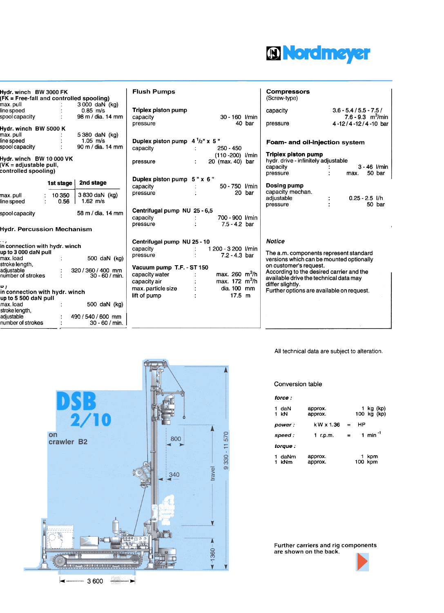

| Hydr. winch BW 3000 FK                                 |           |                                        | FΙι       |
|--------------------------------------------------------|-----------|----------------------------------------|-----------|
| (FK = Free-fall and controlled spooling)               |           |                                        |           |
| max. pull<br>line speed                                |           | 3000 daN (kg)<br>$0.85$ m/s            | Triy      |
| spool capacity                                         |           | 98 m / dia. 14 mm                      | cap       |
|                                                        |           |                                        | pre       |
| Hydr. winch  BW 5000 K                                 |           |                                        |           |
| max. pull<br>line speed                                |           | 5 380 daN (kg)<br>$1.05$ m/s           |           |
| spool capacity                                         |           | 90 m / dia. 14 mm                      | Du<br>cap |
|                                                        |           |                                        |           |
| Hydr. winch BW 10 000 VK                               |           |                                        | pre       |
| (VK = adjustable pull,<br>controlled spooling)         |           |                                        |           |
|                                                        |           |                                        |           |
|                                                        | 1st stage | 2nd stage                              | Du<br>cap |
| max.pull                                               | 10 350    | 3 830 daN (kg)                         | pre       |
| line speed                                             | 0.56      | $1.62 \, m/s$                          |           |
| spool capacity                                         |           | 58 m / dia. 14 mm                      | Cer       |
|                                                        |           |                                        | cap       |
| Hydr. Percussion Mechanism                             |           |                                        | pre       |
|                                                        |           |                                        |           |
|                                                        |           |                                        | Cer       |
| in connection with hydr. winch<br>up to 3 000 daN pull |           |                                        | cap       |
| max.load                                               |           | 500 daN (kg)                           | pre       |
| stroke length,                                         |           |                                        | Vac       |
| adjustable<br>number of strokes                        |           | 320 / 360 / 400 mm<br>$30 - 60 / min.$ | cap       |
|                                                        |           |                                        | cap       |
| ן ס                                                    |           |                                        | ma:       |
| in connection with hydr. winch                         |           |                                        | lift o    |
| up to 5 500 daN pull<br>max.load                       |           | 500 daN (kg)                           |           |
| stroke length,                                         |           |                                        |           |
| adiustable                                             |           | 490 / 540 / 600 mm                     |           |
| number of strokes                                      |           | $30 - 60 / min.$                       |           |
|                                                        |           |                                        |           |

| Hydr. winch BW 3000 FK<br>(FK = Free-fall and controlled spooling)         |                |                                        | <b>Flush Pumps</b>                                   |                                               |        | <b>Compressors</b><br>(Screw-type)                                                        |                                    |                          |
|----------------------------------------------------------------------------|----------------|----------------------------------------|------------------------------------------------------|-----------------------------------------------|--------|-------------------------------------------------------------------------------------------|------------------------------------|--------------------------|
| max. pull<br>ine speed                                                     |                | 3 000 daN (kg)<br>$0.85$ m/s           | Triplex piston pump                                  |                                               |        | capacity                                                                                  | $3.6 - 5.4 / 5.5 - 7.5/$           |                          |
| spool capacity                                                             |                | 98 m / dia. 14 mm                      | capacity                                             | 30 - 160 l/min                                |        |                                                                                           | 7.6 - 9.3 $\,$ m <sup>3</sup> /min |                          |
| Hydr. winch BW 5000 K                                                      |                |                                        | pressure                                             |                                               | 40 bar | pressure                                                                                  | 4-12/4-12/4-10 bar                 |                          |
| max. pull                                                                  |                | 5 380 daN (kg)                         |                                                      |                                               |        |                                                                                           |                                    |                          |
| line speed                                                                 |                | $1.05$ m/s                             | Duplex piston pump $4^1/z''$ x 5"                    |                                               |        | Foam- and oil-injection system                                                            |                                    |                          |
| spool capacity                                                             |                | 90 m / dia. 14 mm                      | capacity                                             | $250 - 450$                                   |        |                                                                                           |                                    |                          |
| Hydr. winch BW 10 000 VK<br>(VK = adiustable pull,<br>controlled spooling) |                |                                        | pressure                                             | $(110 - 200)$ <i>Vmin</i><br>20 (max. 40) bar |        | <b>Triplex piston pump</b><br>hydr. drive - infinitely adjustable<br>capacity<br>pressure | max.                               | $3 - 46$ I/min<br>50 bar |
|                                                                            | 1st stage      | 2nd stage                              | Duplex piston pump 5" x 6"                           |                                               |        |                                                                                           |                                    |                          |
|                                                                            |                |                                        | capacity                                             | 50 - 750 <i>V</i> min                         |        | Dosing pump                                                                               |                                    |                          |
| max. pull<br>ine speed                                                     | 10 350<br>0.56 | 3 830 daN (kg)<br>1.62 $m/s$           | pressure                                             |                                               | 20 bar | capacity mechan.<br>adjustable<br>pressure                                                | $0.25 - 2.5$ I/h                   | 50 bar                   |
| spool capacity<br>Hydr. Percussion Mechanism                               |                | 58 m / dia. 14 mm                      | Centrifugal pump NU 25 - 6,5<br>capacity<br>pressure | 700 - 900 I/min<br>$7.5 - 4.2$ bar            |        |                                                                                           |                                    |                          |
|                                                                            |                |                                        | Centrifugal pump NU 25 - 10                          |                                               |        | <b>Notice</b>                                                                             |                                    |                          |
| in connection with hydr. winch                                             |                |                                        | capacity                                             | 1 200 - 3 200 l/min                           |        |                                                                                           |                                    |                          |
| up to 3 000 daN pull<br>max. load                                          |                | 500 daN (kg)                           | pressure                                             | $7.2 - 4.3$ bar                               |        | The a.m. components represent standard<br>versions which can be mounted optionally        |                                    |                          |
| stroke length,                                                             |                |                                        | Vacuum pump T.F. - ST 150                            |                                               |        | on customer's request.                                                                    |                                    |                          |
| adjustable<br>number of strokes                                            |                | 320 / 360 / 400 mm<br>$30 - 60 / min.$ | capacity water                                       | max. 260 $m^3/h$                              |        | According to the desired carrier and the<br>available drive the technical data may        |                                    |                          |
|                                                                            |                |                                        | capacity air                                         | max. $172 \text{ m}^3/h$                      |        | differ slightly.                                                                          |                                    |                          |
| ן ס<br>in connection with hydr. winch                                      |                |                                        | max. particle size                                   | dia. 100 mm                                   |        | Further options are available on request.                                                 |                                    |                          |
| up to 5 500 daN pull                                                       |                |                                        | lift of pump                                         | $17.5 \; m$                                   |        |                                                                                           |                                    |                          |
| max.load<br>stroke length,                                                 |                | 500 daN (kg)                           |                                                      |                                               |        |                                                                                           |                                    |                          |
| adiustable                                                                 |                | 490 / 540 / 600 mm                     |                                                      |                                               |        |                                                                                           |                                    |                          |
| number of strokes.                                                         |                | $30 - 60 / min$                        |                                                      |                                               |        |                                                                                           |                                    |                          |

All technical data are subject to alteration.

### Conversion table

| force :         |                    |     |    |                          |
|-----------------|--------------------|-----|----|--------------------------|
| 1 daN<br>$1$ kN | approx.<br>approx. |     |    | 1 kg (kp)<br>100 kg (kp) |
| power:          | k W x 1.36         | $=$ | НP |                          |
| speed :         | 1 r.p.m.           | ▬   |    | 1 min <sup>-1</sup>      |
| torque :        |                    |     |    |                          |
| 1 daNm<br>kNm   | approx.<br>approx. |     |    | 1 kpm<br>100 kpm         |

Further carriers and rig components are shown on the back.





 $\begin{picture}(20,20) \put(0,0){\dashbox{0.5}(5,0){ }} \put(15,0){\circle{10}} \put(25,0){\circle{10}} \put(25,0){\circle{10}} \put(25,0){\circle{10}} \put(25,0){\circle{10}} \put(25,0){\circle{10}} \put(25,0){\circle{10}} \put(25,0){\circle{10}} \put(25,0){\circle{10}} \put(25,0){\circle{10}} \put(25,0){\circle{10}} \put(25,0){\circle{10}} \put(25,0){\circle{10}} \put(25,0$  $\leftarrow$  3600